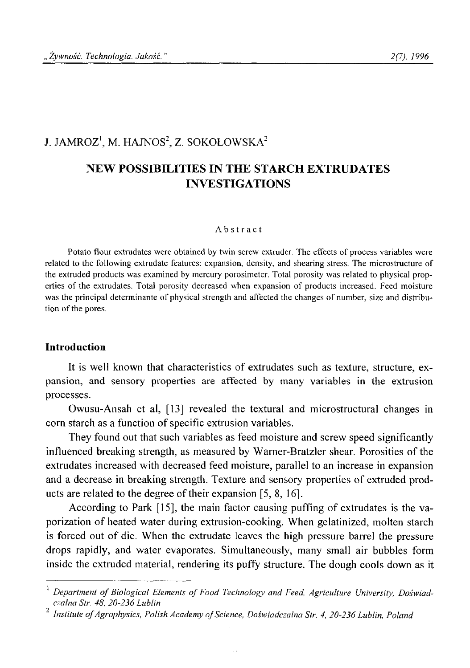# J. JAMROZ<sup>1</sup>, M. HAJNOS<sup>2</sup>, Z. SOKOŁOWSKA<sup>2</sup>

# **NEW POSSIBILITIES IN THE STARCH EXTRUDATES INVESTIGATIONS**

#### **Abstract**

**Potato flour extrudates were obtained by twin screw extruder. The effects of process variables were related to the following extrudate features: expansion, density, and shearing stress. The microstructure of the extruded products was examined by mercury porosimeter. Total porosity was related to physical properties of the extrudates. Total porosity decreased when expansion of products increased. Feed moisture was the principal determinante of physical strength and affected the changes of number, size and distribu**tion of the pores.

#### **Introduction**

It is well known that characteristics of extrudates such as texture, structure, expansion, and sensory properties are affected by many variables in the extrusion processes.

Owusu-Ansah et al, [13] revealed the textural and microstructural changes in corn starch as a function of specific extrusion variables.

They found out that such variables as feed moisture and screw speed significantly influenced breaking strength, as measured by Warner-Bratzler shear. Porosities of the extrudates increased with decreased feed moisture, parallel to an increase in expansion and a decrease in breaking strength. Texture and sensory properties of extruded products are related to the degree of their expansion [5, 8, 16].

According to Park [15], the main factor causing puffing of extrudates is the vaporization of heated water during extrusion-cooking. When gelatinized, molten starch is forced out of die. When the extrudate leaves the high pressure barrel the pressure drops rapidly, and water evaporates. Simultaneously, many small air bubbles form inside the extruded material, rendering its puffy structure. The dough cools down as it

Department of Biological Elements of Food Technology and Feed, Agriculture University, Doświad*czalna Str. 48, 20-236 Lublin ■j*

*Institute of Agrophysics, Polish Academy of Science, Doświadczalna Str. 4, 20-236 Lublin, Poland*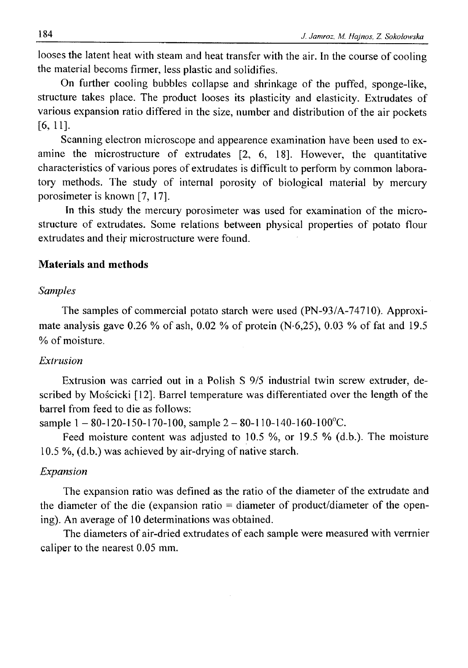looses the latent heat with steam and heat transfer with the air. In the course of cooling the material becoms firmer, less plastic and solidifies.

On further cooling bubbles collapse and shrinkage of the puffed, sponge-like, structure takes place. The product looses its plasticity and elasticity. Extrudates of various expansion ratio differed in the size, number and distribution of the air pockets [6,11].

Scanning electron microscope and appearence examination have been used to examine the microstructure of extrudates [2, 6, 18]. However, the quantitative characteristics of various pores of extrudates is difficult to perform by common laboratory methods. The study of internal porosity of biological material by mercury porosimeter is known [7, 17].

In this study the mercury porosimeter was used for examination of the microstructure of extrudates. Some relations between physical properties of potato flour extrudates and their microstructure were found.

## **Materials and methods**

#### *Samples*

The samples of commercial potato starch were used (PN-93/A-74710). Approximate analysis gave 0.26 % of ash, 0.02 % of protein  $(N.6,25)$ , 0.03 % of fat and 19.5 % of moisture.

## *Extrusion*

Extrusion was carried out in a Polish S 9/5 industrial twin screw extruder, described by Mościcki [12], Barrel temperature was differentiated over the length of the barrel from feed to die as follows:

sample  $1 - 80 - 120 - 150 - 170 - 100$ , sample  $2 - 80 - 110 - 140 - 160 - 100$ °C.

Feed moisture content was adjusted to 10.5 %, or 19.5 % (d.b.). The moisture 10.5 %, (d.b.) was achieved by air-drying of native starch.

### *Expansion*

The expansion ratio was defined as the ratio of the diameter of the extrudate and the diameter of the die (expansion ratio = diameter of product/diameter of the opening). An average of 10 determinations was obtained.

The diameters of air-dried extrudates of each sample were measured with verrnier caliper to the nearest 0.05 mm.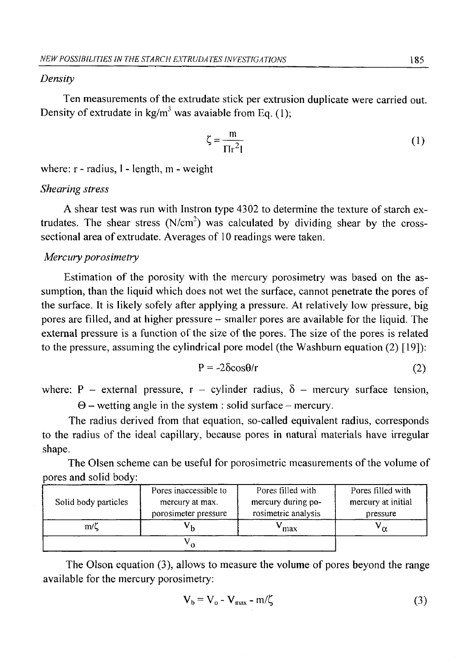## *Density*

Ten measurements of the extrudate stick per extrusion duplicate were carried out. Density of extrudate in  $kg/m<sup>3</sup>$  was avaiable from Eq. (1):

$$
\zeta = \frac{m}{\Pi r^2 l} \tag{1}
$$

where: r - radius, 1 - length, m - weight

# *Shearing stress*

A shear test was run with Instron type 4302 to determine the texture of starch extrudates. The shear stress  $(N/cm<sup>2</sup>)$  was calculated by dividing shear by the crosssectional area of extrudate. Averages of 10 readings were taken.

#### *Mercury porosimetry*

Estimation of the porosity with the mercury porosimetry was based on the assumption, than the liquid which does not wet the surface, cannot penetrate the pores of the surface. It is likely sofely after applying a pressure. At relatively low pressure, big pores are filled, and at higher pressure - smaller pores are available for the liquid. The external pressure is a function of the size of the pores. The size of the pores is related to the pressure, assuming the cylindrical pore model (the Washburn equation (2) [19]):

$$
P = -2\delta \cos \theta / r \tag{2}
$$

where: P - external pressure,  $r -$  cylinder radius,  $\delta$  - mercury surface tension,

 $\Theta$  – wetting angle in the system : solid surface – mercury.

The radius derived from that equation, so-called equivalent radius, corresponds to the radius of the ideal capillary, because pores in natural materials have irregular shape.

The Olsen scheme can be useful for porosimetric measurements of the volume of pores and solid body:

| Solid body particles | Pores inaccessible to | Pores filled with   | Pores filled with  |  |
|----------------------|-----------------------|---------------------|--------------------|--|
|                      | mercury at max.       | mercury during po-  | mercury at initial |  |
|                      | porosimeter pressure  | rosimetric analysis | pressure           |  |
| $m/\zeta$            |                       | max                 | $\alpha$           |  |
|                      |                       |                     |                    |  |

The Olson equation (3), allows to measure the volume of pores beyond the range available for the mercury porosimetry:

$$
V_b = V_o - V_{max} - m/\zeta
$$
 (3)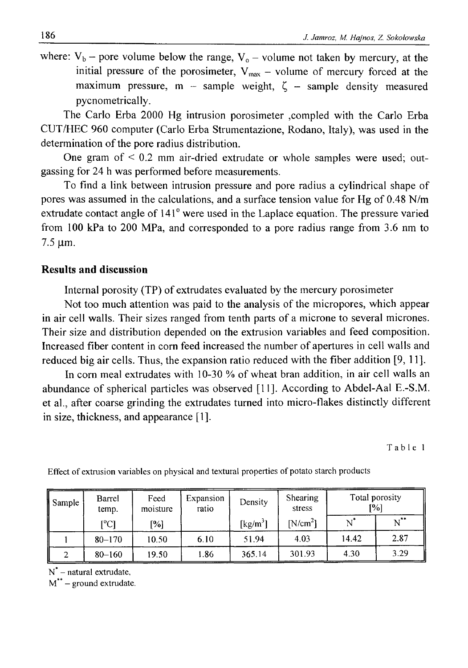where:  $V_b$  – pore volume below the range,  $V_0$  – volume not taken by mercury, at the initial pressure of the porosimeter,  $V_{max}$  – volume of mercury forced at the maximum pressure, m - sample weight,  $\zeta$  - sample density measured pycnometrically.

The Carlo Erba 2000 Hg intrusion porosimeter ,compled with the Carlo Erba CUT/HEC 960 computer (Carlo Erba Strumentazione, Rodano, Italy), was used in the determination of the pore radius distribution.

One gram of  $\leq 0.2$  mm air-dried extrudate or whole samples were used; outgassing for 24 h was performed before measurements.

To find a link between intrusion pressure and pore radius a cylindrical shape of pores was assumed in the calculations, and a surface tension value for Hg of 0.48 N/m extrudate contact angle of 141° were used in the Laplace equation. The pressure varied from 100 kPa to 200 MPa, and corresponded to a pore radius range from 3.6 nm to  $7.5 \mu m$ .

# **Results and discussion**

Internal porosity (TP) of extrudates evaluated by the mercury porosimeter

Not too much attention was paid to the analysis of the micropores, which appear in air cell walls. Their sizes ranged from tenth parts of a microne to several micrones. Their size and distribution depended on the extrusion variables and feed composition. Increased fiber content in corn feed increased the number of apertures in cell walls and reduced big air cells. Thus, the expansion ratio reduced with the fiber addition [9, 11].

In corn meal extrudates with 10-30 % of wheat bran addition, in air cell walls an abundance of spherical particles was observed [11]. According to Abdel-Aal E.-S.M. et al., after coarse grinding the extrudates turned into micro-flakes distinctly different in size, thickness, and appearance [1].

**Table 1**

| Sample | Barrel<br>temp.   | Feed<br>moisture | Expansion<br>ratio | Density              | Shearing<br>stress | Total porosity<br>1%] |          |
|--------|-------------------|------------------|--------------------|----------------------|--------------------|-----------------------|----------|
|        | $\rm [^{\circ}C]$ | [%]              |                    | [kg/m <sup>3</sup> ] | N/cm <sup>2</sup>  |                       | $N^{**}$ |
|        | $80 - 170$        | 10.50            | 6.10               | 51.94                | 4.03               | 14.42                 | 2.87     |
|        | $80 - 160$        | 19.50            | . 86               | 365.14               | 301.93             | 4.30                  | 3.29     |

**Effect of extrusion variables on physical and textural properties of potato starch products**

**N\* - natural extrudate,**

**M\*\* - ground extrudate.**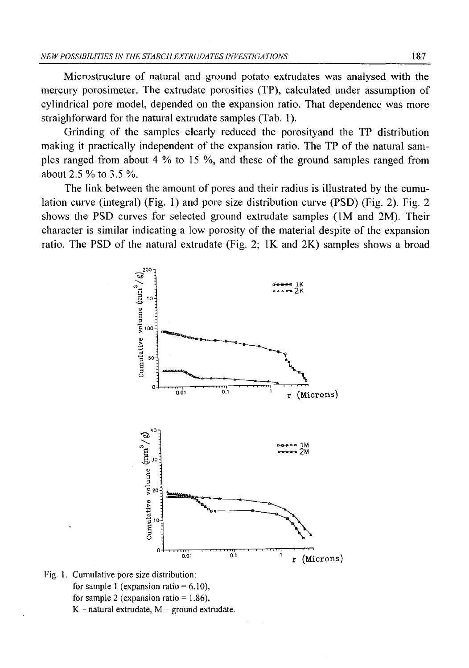Microstructure of natural and ground potato extrudates was analysed with the mercury porosimeter. The extrudate porosities (TP), calculated under assumption of cylindrical pore model, depended on the expansion ratio. That dependence was more straighforward for the natural extrudate samples (Tab. 1).

Grinding of the samples clearly reduced the porosityand the TP distribution making it practically independent of the expansion ratio. The TP of the natural samples ranged from about 4 % to 15 %, and these of the ground samples ranged from about 2.5 % to 3.5 %.

The link between the amount of pores and their radius is illustrated by the cumulation curve (integral) (Fig. 1) and pore size distribution curve (PSD) (Fig. 2). Fig. 2 shows the PSD curves for selected ground extrudate samples (1M and 2M). Their character is similar indicating a low porosity of the material despite of the expansion ratio. The PSD of the natural extrudate (Fig. 2; IK and 2K) samples shows a broad



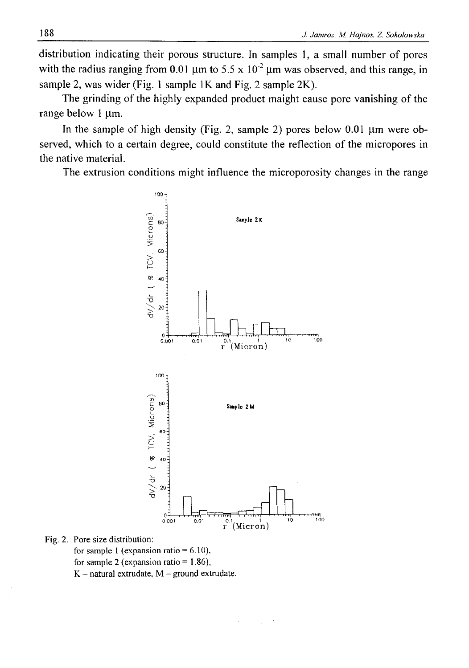distribution indicating their porous structure. In samples 1, a small number of pores with the radius ranging from 0.01  $\mu$ m to 5.5 x 10<sup>-2</sup>  $\mu$ m was observed, and this range, in sample 2, was wider (Fig. 1 sample 1K and Fig. 2 sample 2K).

The grinding of the highly expanded product maight cause pore vanishing of the range below 1 um.

In the sample of high density (Fig. 2, sample 2) pores below  $0.01 \mu m$  were observed, which to a certain degree, could constitute the reflection of the micropores in the native material.

The extrusion conditions might influence the microporosity changes in the range



**Fig. 2. Pore size distribution:**

**for sample 1 (expansion ratio = 6.10), for sample 2 (expansion ratio = 1.86),**  $K$  – natural extrudate,  $M$  – ground extrudate.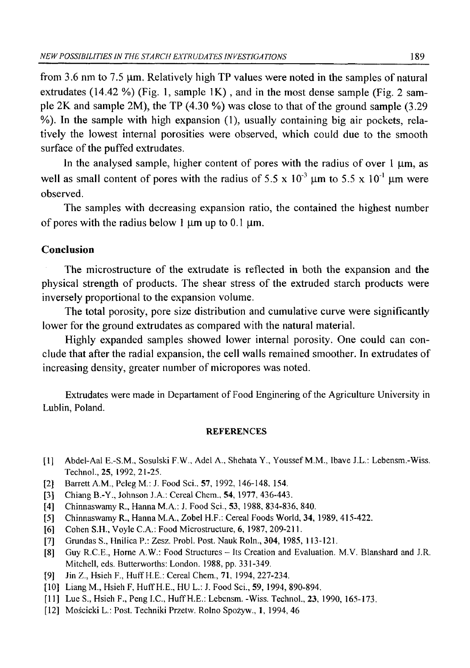from 3.6 nm to 7.5  $\mu$ m. Relatively high TP values were noted in the samples of natural extrudates (14.42 %) (Fig. 1, sample IK) , and in the most dense sample (Fig. 2 sample 2K and sample 2M), the TP  $(4.30\%)$  was close to that of the ground sample  $(3.29$ %). In the sample with high expansion (1), usually containing big air pockets, relatively the lowest internal porosities were observed, which could due to the smooth surface of the puffed extrudates.

In the analysed sample, higher content of pores with the radius of over  $1 \mu m$ , as well as small content of pores with the radius of 5.5 x  $10^{-3}$   $\mu$ m to 5.5 x  $10^{-1}$   $\mu$ m were observed.

The samples with decreasing expansion ratio, the contained the highest number of pores with the radius below 1  $\mu$ m up to 0.1  $\mu$ m.

### **Conclusion**

The microstructure of the extrudate is reflected in both the expansion and the physical strength of products. The shear stress of the extruded starch products were inversely proportional to the expansion volume.

The total porosity, pore size distribution and cumulative curve were significantly lower for the ground extrudates as compared with the natural material.

Highly expanded samples showed lower internal porosity. One could can conclude that after the radial expansion, the cell walls remained smoother. In extrudates of increasing density, greater number of micropores was noted.

Extrudates were made in Departament of Food Enginering of the Agriculture University in Lublin, Poland.

#### **REFERENCES**

- **[1] Abdel-Aal E.-S.M., Sosulski F.W., Adel A., Shehata Y., Youssef M.M., Ibave J.L.: Lebensm.-Wiss. Technol., 25, 1992,21-25.**
- **[2] Barrett A.M., Peleg M.: J. Food Sci., 57, 1992, 146-148, 154.**
- **[3] Chiang B.-Y., Johnson J.A.: Cereal Chem., 54, 1977, 436-443.**
- **[4] Chinnaswamy R., Hanna M.A.: J. Food Sci., 53, 1988, 834-836, 840.**
- **[5] Chinnaswamy R., Hanna M.A., Zobel H.F.: Cereal Foods World, 34, 1989, 415-422.**
- **[6] Cohen S.H., Voyle C.A.: Food Microstructure, 6, 1987, 209-211.**
- **[7] Grundas S., HnilicaP.: Zesz. Probl. Post. Nauk Roln., 304, 1985, 113-121.**
- **[8] Guy R.C.E., Horne A.W.: Food Structures Its Creation and Evaluation. M.V. Blanshard and J.R. Mitchell, eds. Butterworths: London. 1988, pp. 331-349.**
- **[9] Jin Z., Hsieh F., Huff H.E.: Cereal Chem., 71, 1994, 227-234.**
- [10] Liang M., Hsieh F, Huff H.E., HU L.: J. Food Sci., 59, 1994, 890-894.
- **[11] Lue S., Hsieh F., Peng I.C., Huff H.E.: Lebensm. -Wiss. Technol., 23, 1990, 165-173.**
- **[12] Mościcki L.: Post. Techniki Przetw. Rolno Spożyw., 1, 1994, 46**